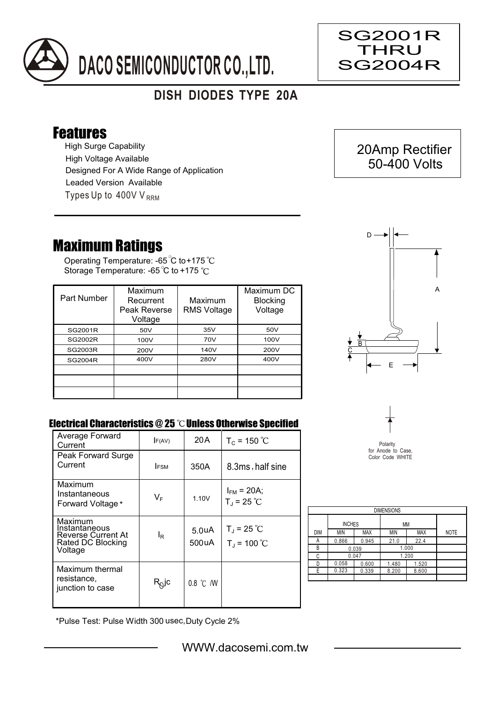

## **DISH DIODES TYPE 20A**

## Features

High Surge Capability Types Up to  $400VV_{RRM}$ High Voltage Available Designed For A Wide Range of Application Leaded Version Available

## Maximum Ratings

Operating Temperature: -65 C to +175 Storage Temperature: -65 °C to +175 °C

| Part Number    | Maximum<br>Recurrent<br>Peak Reverse<br>Voltage | Maximum<br><b>RMS Voltage</b> | Maximum DC<br><b>Blocking</b><br>Voltage |
|----------------|-------------------------------------------------|-------------------------------|------------------------------------------|
| SG2001R        | 50V                                             | 35V                           | 50V                                      |
| SG2002R        | 100V                                            | 70V                           | 100V                                     |
| <b>SG2003R</b> | 200V                                            | 140V                          | 200V                                     |
| <b>SG2004R</b> | 400V                                            | 280V                          | 400V                                     |
|                |                                                 |                               |                                          |
|                |                                                 |                               |                                          |
|                |                                                 |                               |                                          |



 20Amp Rectifier 50-400 Volts

SG2001R THRU SG2004R

Ξ

## Electrical Characteristics @ 25 °C Unless Otherwise Specified

| Average Forward<br>Current                                                            | F(AV)                      | 20 A                        | $T_c = 150 °C$                          |
|---------------------------------------------------------------------------------------|----------------------------|-----------------------------|-----------------------------------------|
| Peak Forward Surge<br>Current                                                         | <b>IFSM</b>                | 350A                        | 8.3ms, half sine                        |
|                                                                                       |                            |                             |                                         |
| Maximum<br>Instantaneous<br>Forward Voltage *                                         | $V_F$                      | 1.10V                       | $I_{FM}$ = 20A;<br>$T_{J}$ = 25 °C      |
| Maximum<br>Instantaneous<br><b>Reverse Current At</b><br>Rated DC Blocking<br>Voltage | l <sub>R</sub>             | 5.0 <sub>u</sub> A<br>500uA | $T_{\rm J}$ = 25 °C<br>$T_{J}$ = 100 °C |
| Maximum thermal<br>resistance,<br>junction to case                                    | $\mathsf{R}^\mathsf{Q}$ lc | 0.8 °C /W                   |                                         |



| <b>DIMENSIONS</b> |                     |            |       |            |             |  |  |  |
|-------------------|---------------------|------------|-------|------------|-------------|--|--|--|
|                   | <b>INCHES</b><br>МM |            |       |            |             |  |  |  |
| DIM               | ΜIΝ                 | <b>MAX</b> | MIN   | <b>MAX</b> | <b>NOTE</b> |  |  |  |
| Α                 | 0.866               | 0.945      | 21.0  | 22.4       |             |  |  |  |
| В                 | 0.039               |            | 1.000 |            |             |  |  |  |
| C                 | 0.047               |            |       | 1.200      |             |  |  |  |
| D                 | 0.058               | 0.600      | 1.480 | 1.520      |             |  |  |  |
| Е                 | 0.323               | 0.339      | 8.200 | 8.600      |             |  |  |  |
|                   |                     |            |       |            |             |  |  |  |

\*Pulse Test: Pulse Width 300 usec,Duty Cycle 2%